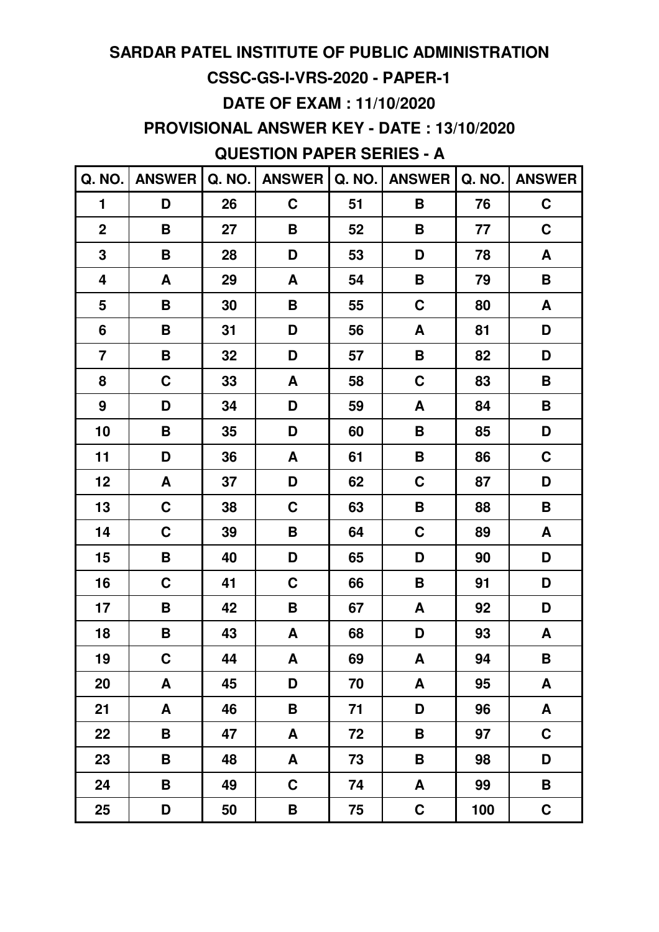### **CSSC-GS-I-VRS-2020 - PAPER-1**

### **DATE OF EXAM : 11/10/2020**

**PROVISIONAL ANSWER KEY - DATE : 13/10/2020**

## **QUESTION PAPER SERIES - A**

| Q. NO.                  | <b>ANSWER</b> | Q. NO. | <b>ANSWER</b> | Q. NO. | <b>ANSWER</b>      | Q. NO. | <b>ANSWER</b>      |
|-------------------------|---------------|--------|---------------|--------|--------------------|--------|--------------------|
| $\blacksquare$          | D             | 26     | $\mathbf C$   | 51     | B                  | 76     | $\mathbf C$        |
| $\mathbf 2$             | B             | 27     | B             | 52     | $\pmb{\mathsf{B}}$ | 77     | $\mathbf C$        |
| 3                       | B             | 28     | D             | 53     | D                  | 78     | $\pmb{\mathsf{A}}$ |
| $\overline{\mathbf{4}}$ | A             | 29     | A             | 54     | B                  | 79     | B                  |
| 5                       | B             | 30     | B             | 55     | $\mathbf C$        | 80     | $\pmb{\mathsf{A}}$ |
| 6                       | B             | 31     | D             | 56     | A                  | 81     | D                  |
| $\overline{\mathbf{7}}$ | B             | 32     | D             | 57     | $\pmb{\mathsf{B}}$ | 82     | D                  |
| 8                       | C             | 33     | A             | 58     | C                  | 83     | B                  |
| $\boldsymbol{9}$        | D             | 34     | D             | 59     | A                  | 84     | B                  |
| 10                      | B             | 35     | D             | 60     | B                  | 85     | D                  |
| 11                      | D             | 36     | A             | 61     | B                  | 86     | $\mathbf C$        |
| 12                      | A             | 37     | D             | 62     | $\mathbf C$        | 87     | D                  |
| 13                      | $\mathbf C$   | 38     | $\mathbf C$   | 63     | B                  | 88     | B                  |
| 14                      | C             | 39     | B             | 64     | $\mathbf C$        | 89     | A                  |
| 15                      | B             | 40     | D             | 65     | D                  | 90     | D                  |
| 16                      | C             | 41     | C             | 66     | B                  | 91     | D                  |
| 17                      | B             | 42     | B             | 67     | A                  | 92     | D                  |
| 18                      | B             | 43     | A             | 68     | D                  | 93     | A                  |
| 19                      | $\mathbf C$   | 44     | A             | 69     | A                  | 94     | B                  |
| 20                      | A             | 45     | D             | 70     | A                  | 95     | A                  |
| 21                      | A             | 46     | B             | 71     | D                  | 96     | A                  |
| 22                      | B             | 47     | A             | 72     | B                  | 97     | $\mathbf C$        |
| 23                      | B             | 48     | A             | 73     | B                  | 98     | D                  |
| 24                      | B             | 49     | $\mathbf C$   | 74     | A                  | 99     | B                  |
| 25                      | D             | 50     | B             | 75     | $\mathbf C$        | 100    | $\mathbf C$        |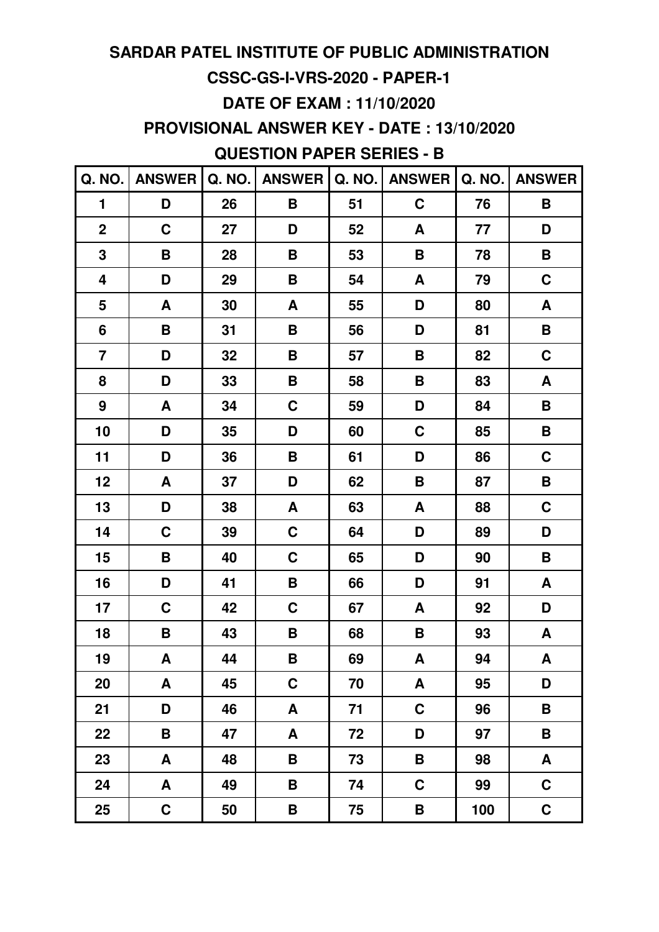### **CSSC-GS-I-VRS-2020 - PAPER-1**

### **DATE OF EXAM : 11/10/2020**

**PROVISIONAL ANSWER KEY - DATE : 13/10/2020**

### **QUESTION PAPER SERIES - B**

| Q. NO.                  | <b>ANSWER</b> | Q. NO. | <b>ANSWER</b> | Q. NO. | <b>ANSWER</b>      | Q. NO. | <b>ANSWER</b>      |
|-------------------------|---------------|--------|---------------|--------|--------------------|--------|--------------------|
| $\blacksquare$          | D             | 26     | B             | 51     | C                  | 76     | B                  |
| $\mathbf 2$             | $\mathbf C$   | 27     | D             | 52     | A                  | 77     | D                  |
| 3                       | B             | 28     | B             | 53     | B                  | 78     | B                  |
| $\overline{\mathbf{4}}$ | D             | 29     | B             | 54     | A                  | 79     | $\mathbf C$        |
| 5                       | A             | 30     | A             | 55     | D                  | 80     | $\pmb{\mathsf{A}}$ |
| 6                       | B             | 31     | B             | 56     | D                  | 81     | $\pmb{\mathsf{B}}$ |
| $\overline{\mathbf{7}}$ | D             | 32     | B             | 57     | B                  | 82     | $\mathbf C$        |
| 8                       | D             | 33     | B             | 58     | B                  | 83     | A                  |
| $\boldsymbol{9}$        | A             | 34     | $\mathbf C$   | 59     | D                  | 84     | B                  |
| 10                      | D             | 35     | D             | 60     | C                  | 85     | B                  |
| 11                      | D             | 36     | B             | 61     | D                  | 86     | $\mathbf C$        |
| 12                      | A             | 37     | D             | 62     | $\pmb{\mathsf{B}}$ | 87     | $\pmb{\mathsf{B}}$ |
| 13                      | D             | 38     | A             | 63     | A                  | 88     | $\mathbf C$        |
| 14                      | C             | 39     | $\mathbf C$   | 64     | D                  | 89     | D                  |
| 15                      | B             | 40     | $\mathbf C$   | 65     | D                  | 90     | B                  |
| 16                      | D             | 41     | B             | 66     | D                  | 91     | A                  |
| 17                      | $\mathbf C$   | 42     | $\mathbf C$   | 67     | A                  | 92     | D                  |
| 18                      | B             | 43     | B             | 68     | B                  | 93     | A                  |
| 19                      | A             | 44     | B             | 69     | A                  | 94     | A                  |
| 20                      | A             | 45     | $\mathbf C$   | 70     | A                  | 95     | D                  |
| 21                      | D             | 46     | A             | 71     | C                  | 96     | B                  |
| 22                      | B             | 47     | A             | 72     | D                  | 97     | B                  |
| 23                      | A             | 48     | B             | 73     | B                  | 98     | A                  |
| 24                      | A             | 49     | B             | 74     | $\mathbf C$        | 99     | $\mathbf C$        |
| 25                      | $\mathbf C$   | 50     | B             | 75     | B                  | 100    | $\mathbf C$        |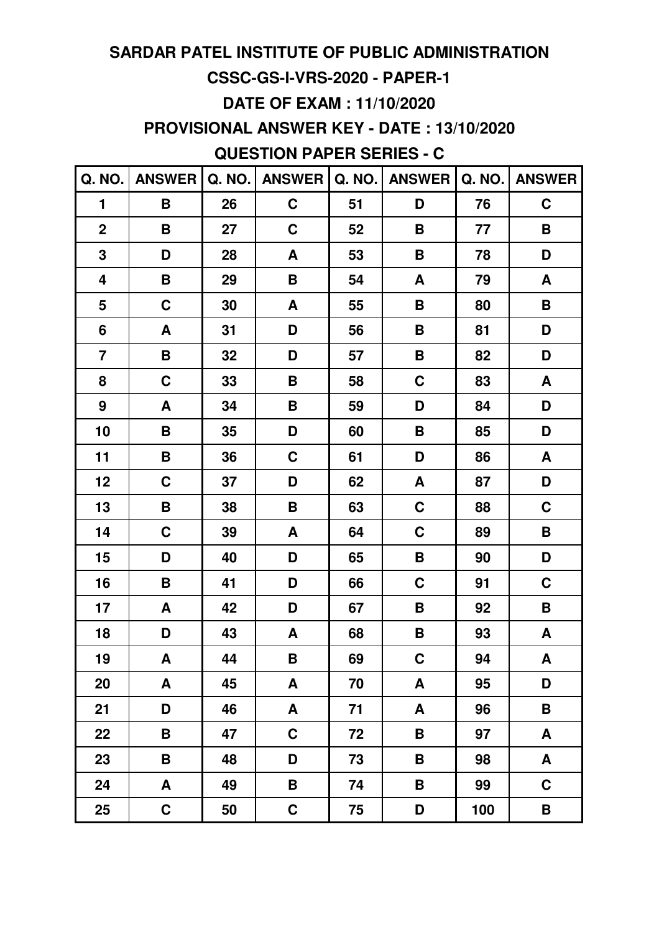### **CSSC-GS-I-VRS-2020 - PAPER-1**

### **DATE OF EXAM : 11/10/2020**

**PROVISIONAL ANSWER KEY - DATE : 13/10/2020**

**QUESTION PAPER SERIES - C**

| Q. NO.                  | <b>ANSWER</b>      | Q. NO. | <b>ANSWER</b> | Q. NO. | <b>ANSWER</b>      | Q. NO. | <b>ANSWER</b>             |
|-------------------------|--------------------|--------|---------------|--------|--------------------|--------|---------------------------|
| 1                       | B                  | 26     | $\mathbf C$   | 51     | D                  | 76     | $\mathbf C$               |
| $\mathbf 2$             | B                  | 27     | $\mathbf C$   | 52     | B                  | 77     | $\pmb{\mathsf{B}}$        |
| 3                       | D                  | 28     | A             | 53     | B                  | 78     | D                         |
| 4                       | B                  | 29     | B             | 54     | A                  | 79     | A                         |
| 5                       | $\mathbf C$        | 30     | A             | 55     | B                  | 80     | B                         |
| 6                       | A                  | 31     | D             | 56     | B                  | 81     | D                         |
| $\overline{\mathbf{7}}$ | $\pmb{\mathsf{B}}$ | 32     | D             | 57     | $\pmb{\mathsf{B}}$ | 82     | D                         |
| 8                       | $\mathbf C$        | 33     | B             | 58     | C                  | 83     | A                         |
| $\boldsymbol{9}$        | A                  | 34     | B             | 59     | D                  | 84     | D                         |
| 10                      | B                  | 35     | D             | 60     | $\pmb{\mathsf{B}}$ | 85     | D                         |
| 11                      | B                  | 36     | $\mathbf C$   | 61     | D                  | 86     | $\boldsymbol{\mathsf{A}}$ |
| 12                      | C                  | 37     | D             | 62     | A                  | 87     | D                         |
| 13                      | B                  | 38     | B             | 63     | $\mathbf C$        | 88     | $\mathbf C$               |
| 14                      | $\mathbf C$        | 39     | A             | 64     | $\mathbf C$        | 89     | B                         |
| 15                      | D                  | 40     | D             | 65     | $\pmb{\mathsf{B}}$ | 90     | D                         |
| 16                      | B                  | 41     | D             | 66     | $\mathbf C$        | 91     | $\mathbf C$               |
| 17                      | A                  | 42     | D             | 67     | B                  | 92     | B                         |
| 18                      | D                  | 43     | A             | 68     | B                  | 93     | A                         |
| 19                      | A                  | 44     | B             | 69     | $\mathbf C$        | 94     | A                         |
| 20                      | A                  | 45     | A             | 70     | A                  | 95     | D                         |
| 21                      | D                  | 46     | A             | 71     | A                  | 96     | B                         |
| 22                      | B                  | 47     | C             | 72     | B                  | 97     | A                         |
| 23                      | B                  | 48     | D             | 73     | B                  | 98     | A                         |
| 24                      | A                  | 49     | B             | 74     | B                  | 99     | $\mathbf C$               |
| 25                      | $\mathbf C$        | 50     | $\mathbf C$   | 75     | D                  | 100    | B                         |